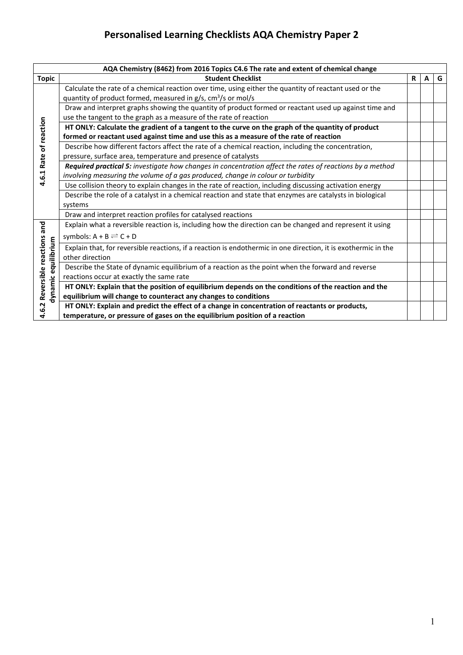|                                                       | AQA Chemistry (8462) from 2016 Topics C4.6 The rate and extent of chemical change                                                                                          |   |   |   |
|-------------------------------------------------------|----------------------------------------------------------------------------------------------------------------------------------------------------------------------------|---|---|---|
| <b>Topic</b>                                          | <b>Student Checklist</b>                                                                                                                                                   | R | A | G |
|                                                       | Calculate the rate of a chemical reaction over time, using either the quantity of reactant used or the<br>quantity of product formed, measured in $g/s$ , $cm3/s$ or mol/s |   |   |   |
|                                                       | Draw and interpret graphs showing the quantity of product formed or reactant used up against time and<br>use the tangent to the graph as a measure of the rate of reaction |   |   |   |
|                                                       | HT ONLY: Calculate the gradient of a tangent to the curve on the graph of the quantity of product                                                                          |   |   |   |
|                                                       | formed or reactant used against time and use this as a measure of the rate of reaction                                                                                     |   |   |   |
| 4.6.1 Rate of reaction                                | Describe how different factors affect the rate of a chemical reaction, including the concentration,                                                                        |   |   |   |
|                                                       | pressure, surface area, temperature and presence of catalysts                                                                                                              |   |   |   |
|                                                       | Required practical 5: investigate how changes in concentration affect the rates of reactions by a method                                                                   |   |   |   |
|                                                       | involving measuring the volume of a gas produced, change in colour or turbidity                                                                                            |   |   |   |
|                                                       | Use collision theory to explain changes in the rate of reaction, including discussing activation energy                                                                    |   |   |   |
|                                                       | Describe the role of a catalyst in a chemical reaction and state that enzymes are catalysts in biological                                                                  |   |   |   |
|                                                       | systems                                                                                                                                                                    |   |   |   |
|                                                       | Draw and interpret reaction profiles for catalysed reactions                                                                                                               |   |   |   |
|                                                       | Explain what a reversible reaction is, including how the direction can be changed and represent it using                                                                   |   |   |   |
| 4.6.2 Reversible reactions and<br>dynamic equilibrium | symbols: $A + B \rightleftharpoons C + D$                                                                                                                                  |   |   |   |
|                                                       | Explain that, for reversible reactions, if a reaction is endothermic in one direction, it is exothermic in the                                                             |   |   |   |
|                                                       | other direction                                                                                                                                                            |   |   |   |
|                                                       | Describe the State of dynamic equilibrium of a reaction as the point when the forward and reverse                                                                          |   |   |   |
|                                                       | reactions occur at exactly the same rate                                                                                                                                   |   |   |   |
|                                                       | HT ONLY: Explain that the position of equilibrium depends on the conditions of the reaction and the                                                                        |   |   |   |
|                                                       | equilibrium will change to counteract any changes to conditions                                                                                                            |   |   |   |
|                                                       | HT ONLY: Explain and predict the effect of a change in concentration of reactants or products,                                                                             |   |   |   |
|                                                       | temperature, or pressure of gases on the equilibrium position of a reaction                                                                                                |   |   |   |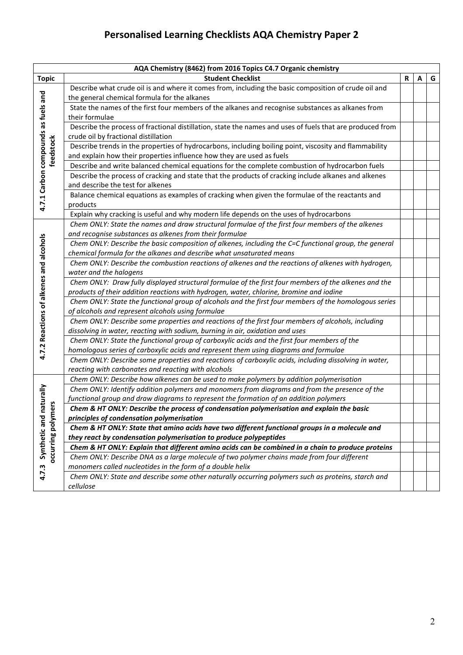| AQA Chemistry (8462) from 2016 Topics C4.7 Organic chemistry |                                                                                                           |   |   |   |  |  |
|--------------------------------------------------------------|-----------------------------------------------------------------------------------------------------------|---|---|---|--|--|
| <b>Topic</b>                                                 | <b>Student Checklist</b>                                                                                  | R | A | G |  |  |
|                                                              | Describe what crude oil is and where it comes from, including the basic composition of crude oil and      |   |   |   |  |  |
|                                                              | the general chemical formula for the alkanes                                                              |   |   |   |  |  |
|                                                              | State the names of the first four members of the alkanes and recognise substances as alkanes from         |   |   |   |  |  |
|                                                              | their formulae                                                                                            |   |   |   |  |  |
|                                                              | Describe the process of fractional distillation, state the names and uses of fuels that are produced from |   |   |   |  |  |
|                                                              | crude oil by fractional distillation                                                                      |   |   |   |  |  |
|                                                              | Describe trends in the properties of hydrocarbons, including boiling point, viscosity and flammability    |   |   |   |  |  |
| feedstock                                                    | and explain how their properties influence how they are used as fuels                                     |   |   |   |  |  |
|                                                              | Describe and write balanced chemical equations for the complete combustion of hydrocarbon fuels           |   |   |   |  |  |
|                                                              | Describe the process of cracking and state that the products of cracking include alkanes and alkenes      |   |   |   |  |  |
|                                                              | and describe the test for alkenes                                                                         |   |   |   |  |  |
|                                                              | Balance chemical equations as examples of cracking when given the formulae of the reactants and           |   |   |   |  |  |
| 4.7.1 Carbon compounds as fuels and                          | products                                                                                                  |   |   |   |  |  |
|                                                              | Explain why cracking is useful and why modern life depends on the uses of hydrocarbons                    |   |   |   |  |  |
|                                                              | Chem ONLY: State the names and draw structural formulae of the first four members of the alkenes          |   |   |   |  |  |
|                                                              | and recognise substances as alkenes from their formulae                                                   |   |   |   |  |  |
|                                                              | Chem ONLY: Describe the basic composition of alkenes, including the C=C functional group, the general     |   |   |   |  |  |
|                                                              | chemical formula for the alkanes and describe what unsaturated means                                      |   |   |   |  |  |
|                                                              | Chem ONLY: Describe the combustion reactions of alkenes and the reactions of alkenes with hydrogen,       |   |   |   |  |  |
|                                                              | water and the halogens                                                                                    |   |   |   |  |  |
| 4.7.2 Reactions of alkenes and alcohols                      | Chem ONLY: Draw fully displayed structural formulae of the first four members of the alkenes and the      |   |   |   |  |  |
|                                                              | products of their addition reactions with hydrogen, water, chlorine, bromine and iodine                   |   |   |   |  |  |
|                                                              | Chem ONLY: State the functional group of alcohols and the first four members of the homologous series     |   |   |   |  |  |
|                                                              | of alcohols and represent alcohols using formulae                                                         |   |   |   |  |  |
|                                                              | Chem ONLY: Describe some properties and reactions of the first four members of alcohols, including        |   |   |   |  |  |
|                                                              | dissolving in water, reacting with sodium, burning in air, oxidation and uses                             |   |   |   |  |  |
|                                                              | Chem ONLY: State the functional group of carboxylic acids and the first four members of the               |   |   |   |  |  |
|                                                              | homologous series of carboxylic acids and represent them using diagrams and formulae                      |   |   |   |  |  |
|                                                              | Chem ONLY: Describe some properties and reactions of carboxylic acids, including dissolving in water,     |   |   |   |  |  |
|                                                              | reacting with carbonates and reacting with alcohols                                                       |   |   |   |  |  |
|                                                              | Chem ONLY: Describe how alkenes can be used to make polymers by addition polymerisation                   |   |   |   |  |  |
| aturally                                                     | Chem ONLY: Identify addition polymers and monomers from diagrams and from the presence of the             |   |   |   |  |  |
| ers                                                          | functional group and draw diagrams to represent the formation of an addition polymers                     |   |   |   |  |  |
|                                                              | Chem & HT ONLY: Describe the process of condensation polymerisation and explain the basic                 |   |   |   |  |  |
|                                                              | principles of condensation polymerisation                                                                 |   |   |   |  |  |
|                                                              | Chem & HT ONLY: State that amino acids have two different functional groups in a molecule and             |   |   |   |  |  |
| occurring polym<br>Synthetic and                             | they react by condensation polymerisation to produce polypeptides                                         |   |   |   |  |  |
|                                                              | Chem & HT ONLY: Explain that different amino acids can be combined in a chain to produce proteins         |   |   |   |  |  |
|                                                              | Chem ONLY: Describe DNA as a large molecule of two polymer chains made from four different                |   |   |   |  |  |
| 4.7.3                                                        | monomers called nucleotides in the form of a double helix                                                 |   |   |   |  |  |
|                                                              | Chem ONLY: State and describe some other naturally occurring polymers such as proteins, starch and        |   |   |   |  |  |
|                                                              | cellulose                                                                                                 |   |   |   |  |  |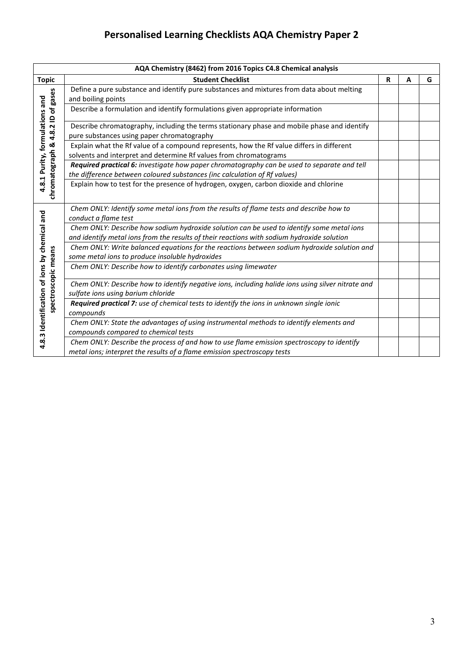| AQA Chemistry (8462) from 2016 Topics C4.8 Chemical analysis |                                                                                                                                                                                         |   |   |   |  |
|--------------------------------------------------------------|-----------------------------------------------------------------------------------------------------------------------------------------------------------------------------------------|---|---|---|--|
| <b>Topic</b>                                                 | <b>Student Checklist</b>                                                                                                                                                                | R | A | G |  |
|                                                              | Define a pure substance and identify pure substances and mixtures from data about melting<br>and boiling points                                                                         |   |   |   |  |
|                                                              | Describe a formulation and identify formulations given appropriate information                                                                                                          |   |   |   |  |
|                                                              | Describe chromatography, including the terms stationary phase and mobile phase and identify<br>pure substances using paper chromatography                                               |   |   |   |  |
|                                                              | Explain what the Rf value of a compound represents, how the Rf value differs in different<br>solvents and interpret and determine Rf values from chromatograms                          |   |   |   |  |
| 4.8.1 Purity, formulations and                               | Required practical 6: investigate how paper chromatography can be used to separate and tell<br>the difference between coloured substances (inc calculation of Rf values)                |   |   |   |  |
| chromatograph & 4.8.2 ID of gases                            | Explain how to test for the presence of hydrogen, oxygen, carbon dioxide and chlorine                                                                                                   |   |   |   |  |
|                                                              | Chem ONLY: Identify some metal ions from the results of flame tests and describe how to<br>conduct a flame test                                                                         |   |   |   |  |
|                                                              | Chem ONLY: Describe how sodium hydroxide solution can be used to identify some metal ions<br>and identify metal ions from the results of their reactions with sodium hydroxide solution |   |   |   |  |
|                                                              | Chem ONLY: Write balanced equations for the reactions between sodium hydroxide solution and<br>some metal ions to produce insoluble hydroxides                                          |   |   |   |  |
|                                                              | Chem ONLY: Describe how to identify carbonates using limewater                                                                                                                          |   |   |   |  |
| spectroscopic means                                          | Chem ONLY: Describe how to identify negative ions, including halide ions using silver nitrate and<br>sulfate ions using barium chloride                                                 |   |   |   |  |
|                                                              | Required practical 7: use of chemical tests to identify the ions in unknown single ionic<br>compounds                                                                                   |   |   |   |  |
| 4.8.3 Identification of ions by chemical and                 | Chem ONLY: State the advantages of using instrumental methods to identify elements and<br>compounds compared to chemical tests                                                          |   |   |   |  |
|                                                              | Chem ONLY: Describe the process of and how to use flame emission spectroscopy to identify<br>metal ions; interpret the results of a flame emission spectroscopy tests                   |   |   |   |  |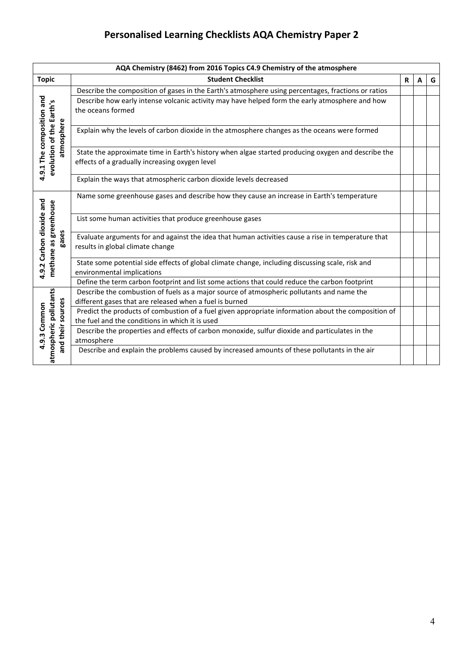|                                                      | AQA Chemistry (8462) from 2016 Topics C4.9 Chemistry of the atmosphere                                                                                 |   |   |   |  |  |
|------------------------------------------------------|--------------------------------------------------------------------------------------------------------------------------------------------------------|---|---|---|--|--|
| <b>Topic</b>                                         | <b>Student Checklist</b>                                                                                                                               | R | А | G |  |  |
|                                                      | Describe the composition of gases in the Earth's atmosphere using percentages, fractions or ratios                                                     |   |   |   |  |  |
| 4.9.1 The composition and                            | Describe how early intense volcanic activity may have helped form the early atmosphere and how<br>the oceans formed                                    |   |   |   |  |  |
| atmosphere                                           | Explain why the levels of carbon dioxide in the atmosphere changes as the oceans were formed                                                           |   |   |   |  |  |
| evolution of the Earth's                             | State the approximate time in Earth's history when algae started producing oxygen and describe the<br>effects of a gradually increasing oxygen level   |   |   |   |  |  |
|                                                      | Explain the ways that atmospheric carbon dioxide levels decreased                                                                                      |   |   |   |  |  |
|                                                      | Name some greenhouse gases and describe how they cause an increase in Earth's temperature                                                              |   |   |   |  |  |
| greenhouse                                           | List some human activities that produce greenhouse gases                                                                                               |   |   |   |  |  |
| 4.9.2 Carbon dioxide and<br>gases                    | Evaluate arguments for and against the idea that human activities cause a rise in temperature that<br>results in global climate change                 |   |   |   |  |  |
| methane as                                           | State some potential side effects of global climate change, including discussing scale, risk and<br>environmental implications                         |   |   |   |  |  |
|                                                      | Define the term carbon footprint and list some actions that could reduce the carbon footprint                                                          |   |   |   |  |  |
|                                                      | Describe the combustion of fuels as a major source of atmospheric pollutants and name the<br>different gases that are released when a fuel is burned   |   |   |   |  |  |
| Common                                               | Predict the products of combustion of a fuel given appropriate information about the composition of<br>the fuel and the conditions in which it is used |   |   |   |  |  |
| atmospheric pollutants<br>and their sources<br>4.9.3 | Describe the properties and effects of carbon monoxide, sulfur dioxide and particulates in the<br>atmosphere                                           |   |   |   |  |  |
|                                                      | Describe and explain the problems caused by increased amounts of these pollutants in the air                                                           |   |   |   |  |  |